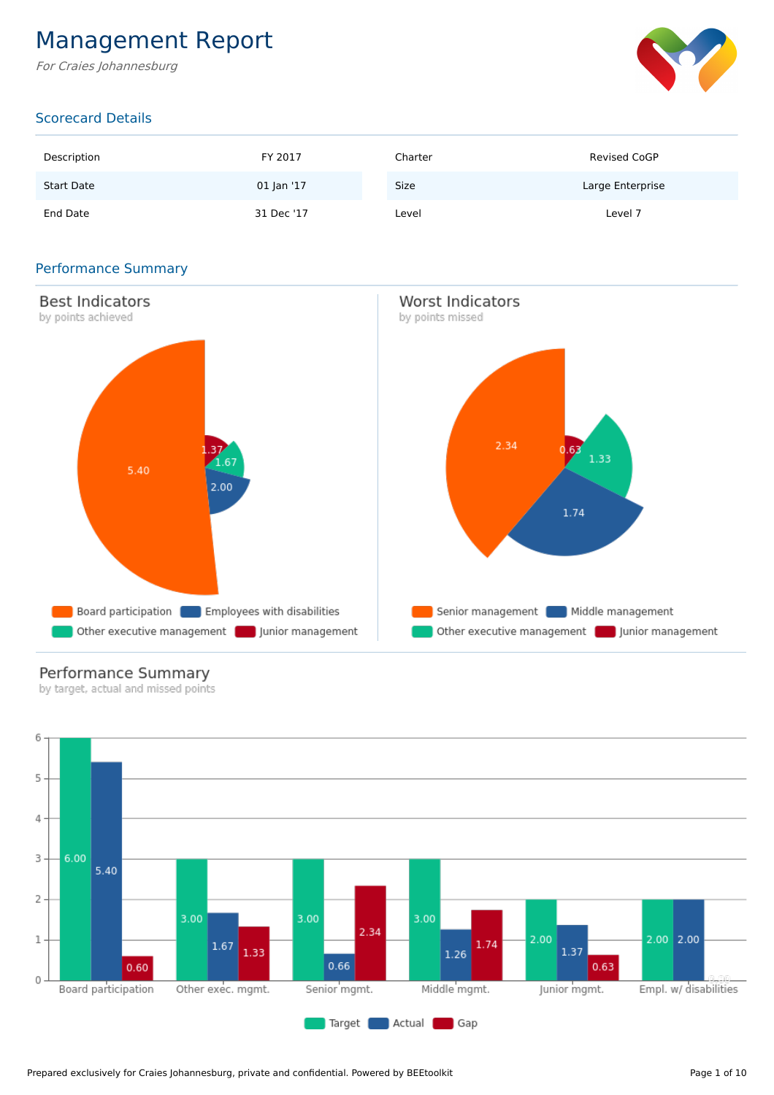## Management Report

For Craies Johannesburg



## Scorecard Details

| Description       | FY 2017    | Charter | <b>Revised CoGP</b> |
|-------------------|------------|---------|---------------------|
| <b>Start Date</b> | 01 Jan '17 | Size    | Large Enterprise    |
| End Date          | 31 Dec '17 | Level   | Level 7             |

## Performance Summary



## Performance Summary

by target, actual and missed points

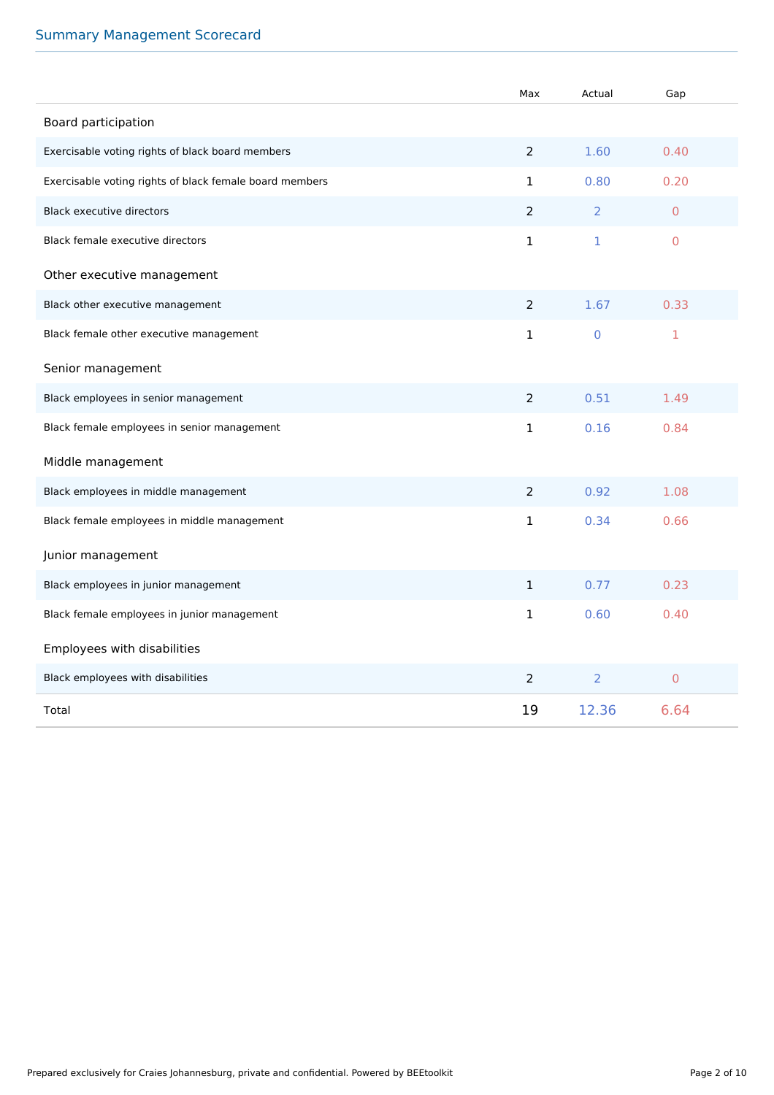## Summary Management Scorecard

|                                                         | Max            | Actual         | Gap            |
|---------------------------------------------------------|----------------|----------------|----------------|
| Board participation                                     |                |                |                |
| Exercisable voting rights of black board members        | $\overline{2}$ | 1.60           | 0.40           |
| Exercisable voting rights of black female board members | $\mathbf{1}$   | 0.80           | 0.20           |
| <b>Black executive directors</b>                        | 2              | 2              | $\overline{0}$ |
| Black female executive directors                        | 1              | $\mathbf{1}$   | $\mathbf 0$    |
| Other executive management                              |                |                |                |
| Black other executive management                        | 2              | 1.67           | 0.33           |
| Black female other executive management                 | 1              | $\mathbf 0$    | 1              |
| Senior management                                       |                |                |                |
| Black employees in senior management                    | $\overline{2}$ | 0.51           | 1.49           |
| Black female employees in senior management             | 1              | 0.16           | 0.84           |
| Middle management                                       |                |                |                |
| Black employees in middle management                    | $\overline{2}$ | 0.92           | 1.08           |
| Black female employees in middle management             | 1              | 0.34           | 0.66           |
| Junior management                                       |                |                |                |
| Black employees in junior management                    | $\mathbf{1}$   | 0.77           | 0.23           |
| Black female employees in junior management             | $\mathbf{1}$   | 0.60           | 0.40           |
| Employees with disabilities                             |                |                |                |
| Black employees with disabilities                       | $\overline{2}$ | $\overline{2}$ | $\overline{0}$ |
| Total                                                   | 19             | 12.36          | 6.64           |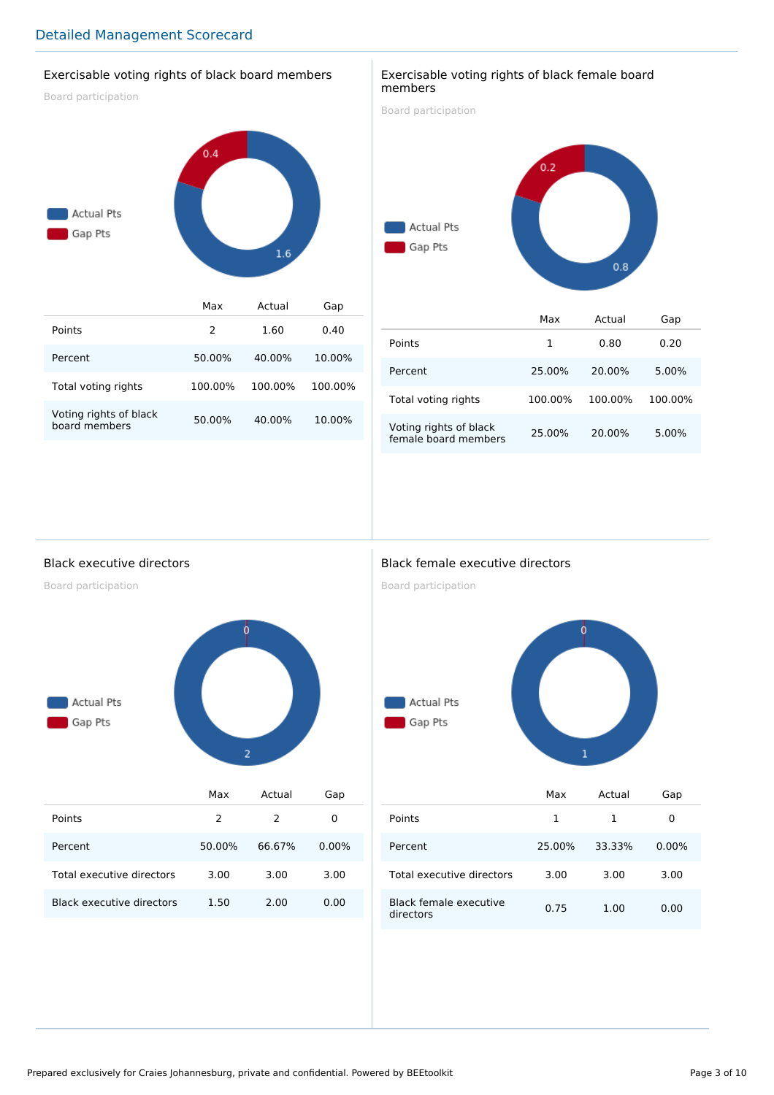## Exercisable voting rights of black board members

Board participation



#### Exercisable voting rights of black female board members

Board participation



|                                                | Max     | Actual  | Gap     |
|------------------------------------------------|---------|---------|---------|
| Points                                         | 1       | 0.80    | 0.20    |
| Percent                                        | 25.00%  | 20.00%  | 5.00%   |
| Total voting rights                            | 100.00% | 100.00% | 100.00% |
| Voting rights of black<br>female board members | 25.00%  | 20.00%  | 5.00%   |

Black executive directors

Board participation



|                                  | Max    | Actual | Gap      |
|----------------------------------|--------|--------|----------|
| Points                           | 2      | 2      | 0        |
| Percent                          | 50.00% | 66.67% | $0.00\%$ |
| Total executive directors        | 3.00   | 3.00   | 3.00     |
| <b>Black executive directors</b> | 1.50   | 2.00   | 0.00     |

## Black female executive directors

Board participation



|                                     | Max    | Actual | Gap      |
|-------------------------------------|--------|--------|----------|
| Points                              | 1      | 1      | 0        |
| Percent                             | 25.00% | 33.33% | $0.00\%$ |
| Total executive directors           | 3.00   | 3.00   | 3.00     |
| Black female executive<br>directors | 0.75   | 1.00   | 0.00     |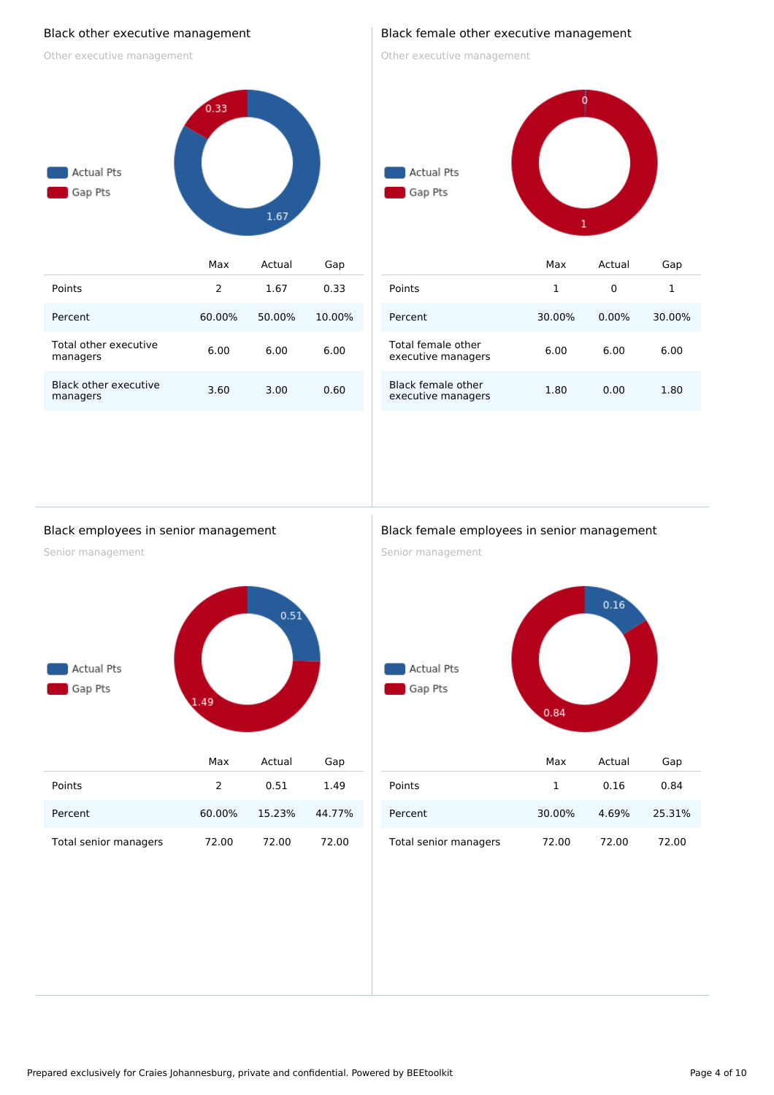#### Black other executive management

Other executive management



#### Black female other executive management

Other executive management



| Points                                   |        |          |        |
|------------------------------------------|--------|----------|--------|
| Percent                                  | 30.00% | $0.00\%$ | 30.00% |
| Total female other<br>executive managers | 6.00   | 6.00     | 6.00   |
| Black female other<br>executive managers | 1.80   | 0.00     | 1.80   |

#### Black employees in senior management

Senior management



|                       | мах           | Actual | Gap    |
|-----------------------|---------------|--------|--------|
| Points                | $\mathcal{P}$ | 0.51   | 1.49   |
| Percent               | 60.00%        | 15.23% | 44.77% |
| Total senior managers | 72.00         | 72.00  | 72.00  |

#### Black female employees in senior management

Senior management



|                       | Max    | Actual | Gap    |
|-----------------------|--------|--------|--------|
| Points                | 1      | 0.16   | 0.84   |
| Percent               | 30.00% | 4.69%  | 25.31% |
| Total senior managers | 72.00  | 72.00  | 72.00  |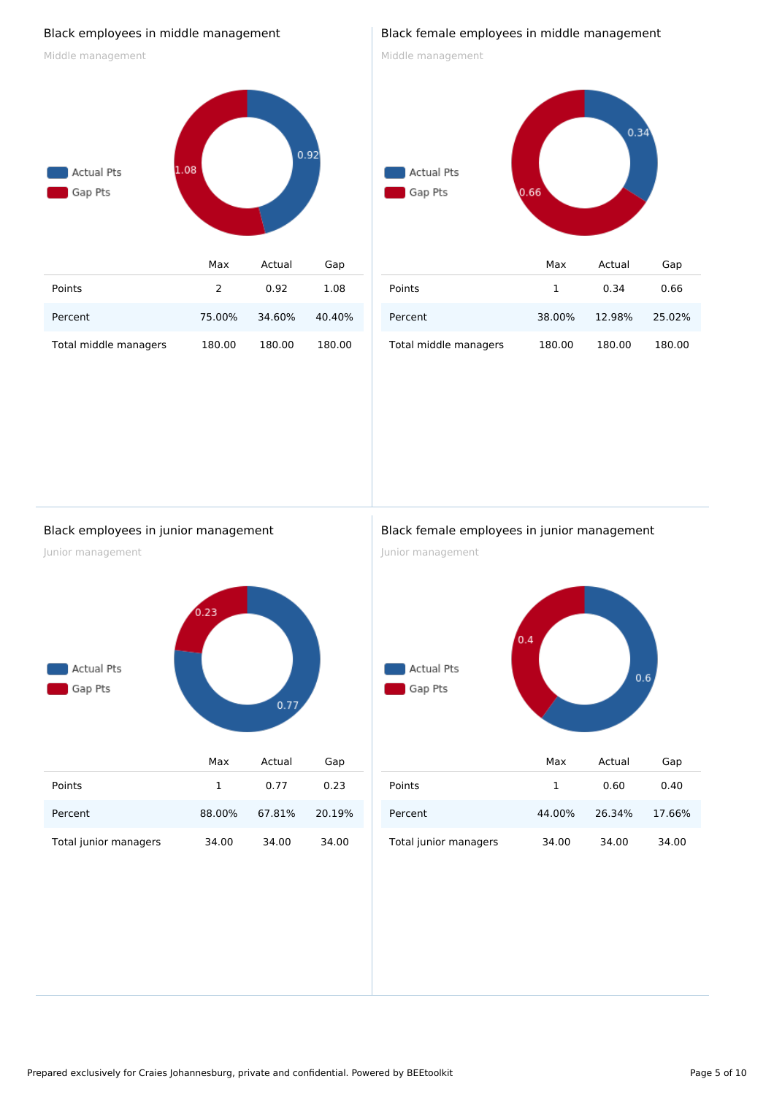### Black employees in middle management

Middle management



#### Black female employees in middle management

Middle management

# $0.34$ Actual Pts Gap Pts  $0.66$ Max Actual Gap Points 1 0.34 0.66 Percent 38.00% 12.98% 25.02% Total middle managers 180.00 180.00 180.00

#### Black employees in junior management

Junior management



Total junior managers 34.00 34.00 34.00

#### Black female employees in junior management

Junior management



|                       | Max    | Actual | Gap    |
|-----------------------|--------|--------|--------|
| Points                | 1      | 0.60   | 0.40   |
| Percent               | 44.00% | 26.34% | 17.66% |
| Total junior managers | 34.00  | 34.00  | 34.00  |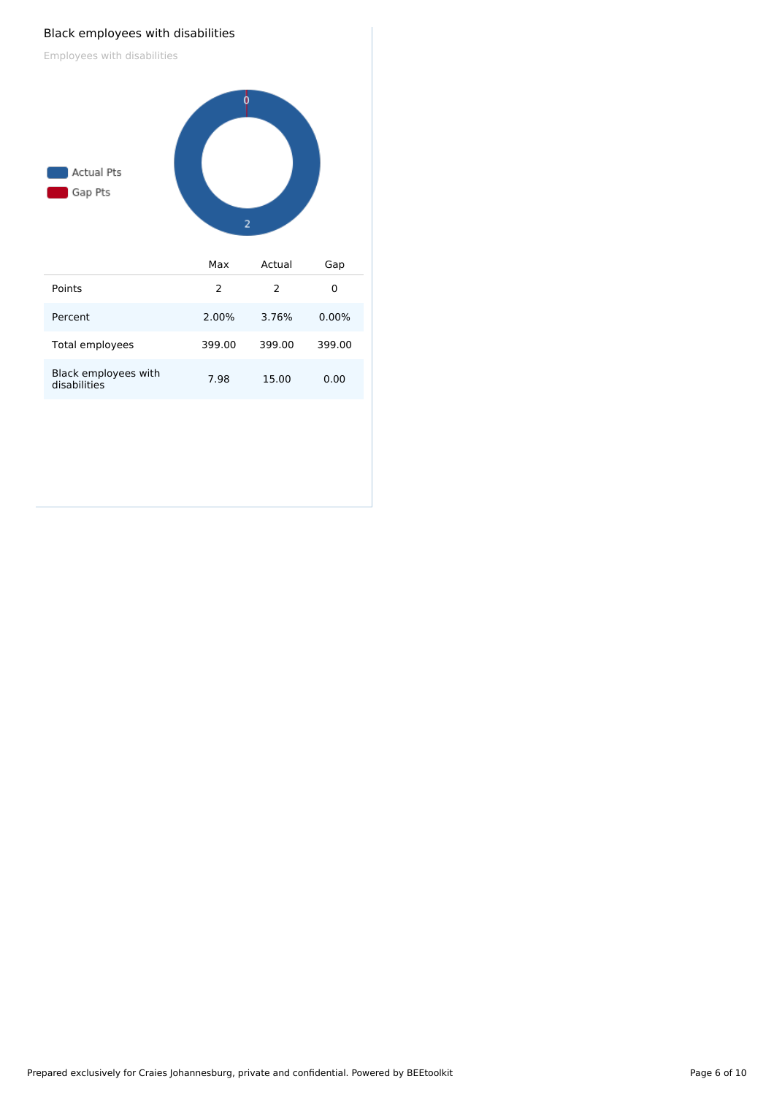#### Black employees with disabilities

Employees with disabilities

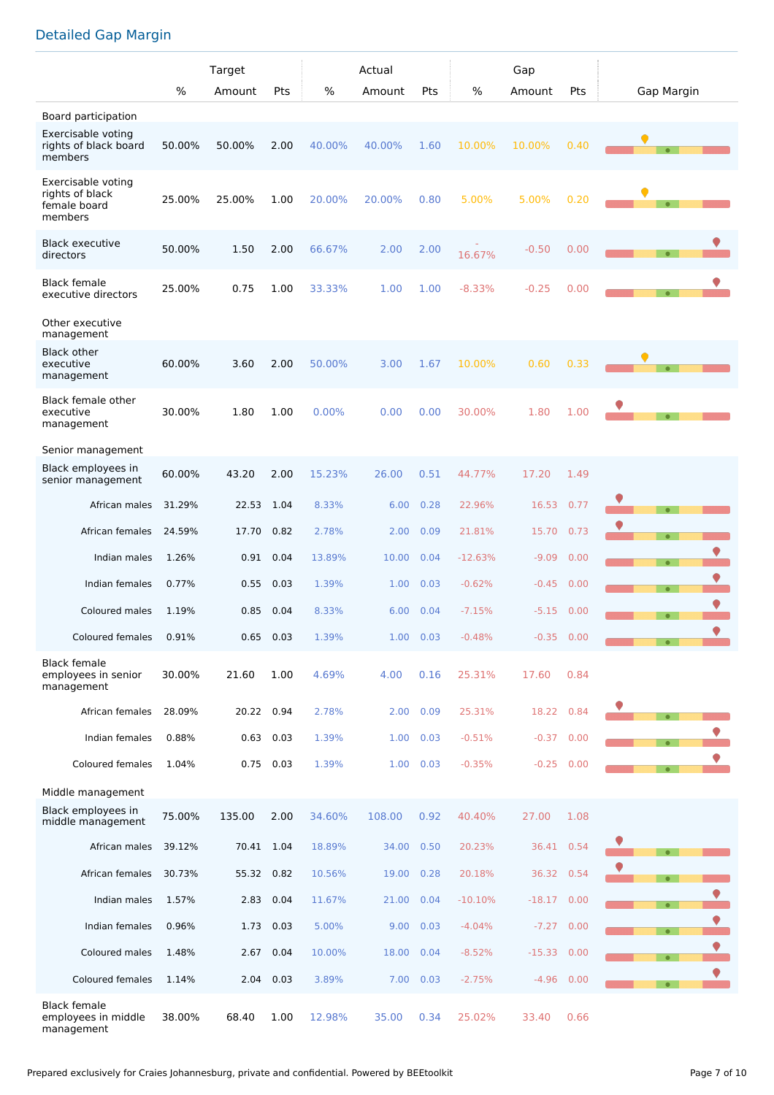## Detailed Gap Margin

|                                                                  |        | Target     |      | Actual |        | Gap       |           |          |      |            |
|------------------------------------------------------------------|--------|------------|------|--------|--------|-----------|-----------|----------|------|------------|
|                                                                  | $\%$   | Amount     | Pts  | $\%$   | Amount | Pts       | %         | Amount   | Pts  | Gap Margin |
| Board participation                                              |        |            |      |        |        |           |           |          |      |            |
| Exercisable voting<br>rights of black board<br>members           | 50.00% | 50.00%     | 2.00 | 40.00% | 40.00% | 1.60      | 10.00%    | 10.00%   | 0.40 |            |
| Exercisable voting<br>rights of black<br>female board<br>members | 25.00% | 25.00%     | 1.00 | 20.00% | 20.00% | 0.80      | 5.00%     | 5.00%    | 0.20 |            |
| <b>Black executive</b><br>directors                              | 50.00% | 1.50       | 2.00 | 66.67% | 2.00   | 2.00      | 16.67%    | $-0.50$  | 0.00 | $\bullet$  |
| <b>Black female</b><br>executive directors                       | 25.00% | 0.75       | 1.00 | 33.33% | 1.00   | 1.00      | $-8.33%$  | $-0.25$  | 0.00 |            |
| Other executive<br>management                                    |        |            |      |        |        |           |           |          |      |            |
| <b>Black other</b><br>executive<br>management                    | 60.00% | 3.60       | 2.00 | 50.00% | 3.00   | 1.67      | 10.00%    | 0.60     | 0.33 |            |
| Black female other<br>executive<br>management                    | 30.00% | 1.80       | 1.00 | 0.00%  | 0.00   | 0.00      | 30.00%    | 1.80     | 1.00 |            |
| Senior management                                                |        |            |      |        |        |           |           |          |      |            |
| Black employees in<br>senior management                          | 60.00% | 43.20      | 2.00 | 15.23% | 26.00  | 0.51      | 44.77%    | 17.20    | 1.49 |            |
| African males                                                    | 31.29% | 22.53      | 1.04 | 8.33%  | 6.00   | 0.28      | 22.96%    | 16.53    | 0.77 |            |
| African females                                                  | 24.59% | 17.70      | 0.82 | 2.78%  | 2.00   | 0.09      | 21.81%    | 15.70    | 0.73 | $\bullet$  |
| Indian males                                                     | 1.26%  | 0.91       | 0.04 | 13.89% | 10.00  | 0.04      | $-12.63%$ | $-9.09$  | 0.00 | $\bullet$  |
| Indian females                                                   | 0.77%  | 0.55       | 0.03 | 1.39%  | 1.00   | 0.03      | $-0.62%$  | $-0.45$  | 0.00 | $\bullet$  |
| Coloured males                                                   | 1.19%  | 0.85       | 0.04 | 8.33%  | 6.00   | 0.04      | $-7.15%$  | $-5.15$  | 0.00 | $\bullet$  |
| Coloured females                                                 | 0.91%  | 0.65       | 0.03 | 1.39%  | 1.00   | 0.03      | $-0.48%$  | $-0.35$  | 0.00 | ♥          |
| <b>Black female</b><br>employees in senior<br>management         | 30.00% | 21.60      | 1.00 | 4.69%  | 4.00   | 0.16      | 25.31%    | 17.60    | 0.84 |            |
| African females                                                  | 28.09% | 20.22      | 0.94 | 2.78%  | 2.00   | 0.09      | 25.31%    | 18.22    | 0.84 |            |
| Indian females                                                   | 0.88%  | 0.63       | 0.03 | 1.39%  | 1.00   | 0.03      | $-0.51%$  | $-0.37$  | 0.00 | $\bullet$  |
| Coloured females                                                 | 1.04%  | 0.75       | 0.03 | 1.39%  | 1.00   | 0.03      | $-0.35%$  | $-0.25$  | 0.00 | $\bullet$  |
| Middle management                                                |        |            |      |        |        |           |           |          |      |            |
| Black employees in<br>middle management                          | 75.00% | 135.00     | 2.00 | 34.60% | 108.00 | 0.92      | 40.40%    | 27.00    | 1.08 |            |
| African males                                                    | 39.12% | 70.41 1.04 |      | 18.89% | 34.00  | 0.50      | 20.23%    | 36.41    | 0.54 |            |
| African females                                                  | 30.73% | 55.32      | 0.82 | 10.56% | 19.00  | 0.28      | 20.18%    | 36.32    | 0.54 | $\bullet$  |
| Indian males                                                     | 1.57%  | 2.83       | 0.04 | 11.67% | 21.00  | 0.04      | $-10.10%$ | $-18.17$ | 0.00 | $\bullet$  |
| Indian females                                                   | 0.96%  | 1.73 0.03  |      | 5.00%  | 9.00   | 0.03      | $-4.04%$  | $-7.27$  | 0.00 | $\bullet$  |
| Coloured males                                                   | 1.48%  | 2.67       | 0.04 | 10.00% | 18.00  | 0.04      | $-8.52%$  | $-15.33$ | 0.00 | $\bullet$  |
| Coloured females                                                 | 1.14%  | 2.04       | 0.03 | 3.89%  |        | 7.00 0.03 | $-2.75%$  | $-4.96$  | 0.00 |            |
| <b>Black female</b><br>employees in middle<br>management         | 38.00% | 68.40      | 1.00 | 12.98% | 35.00  | 0.34      | 25.02%    | 33.40    | 0.66 |            |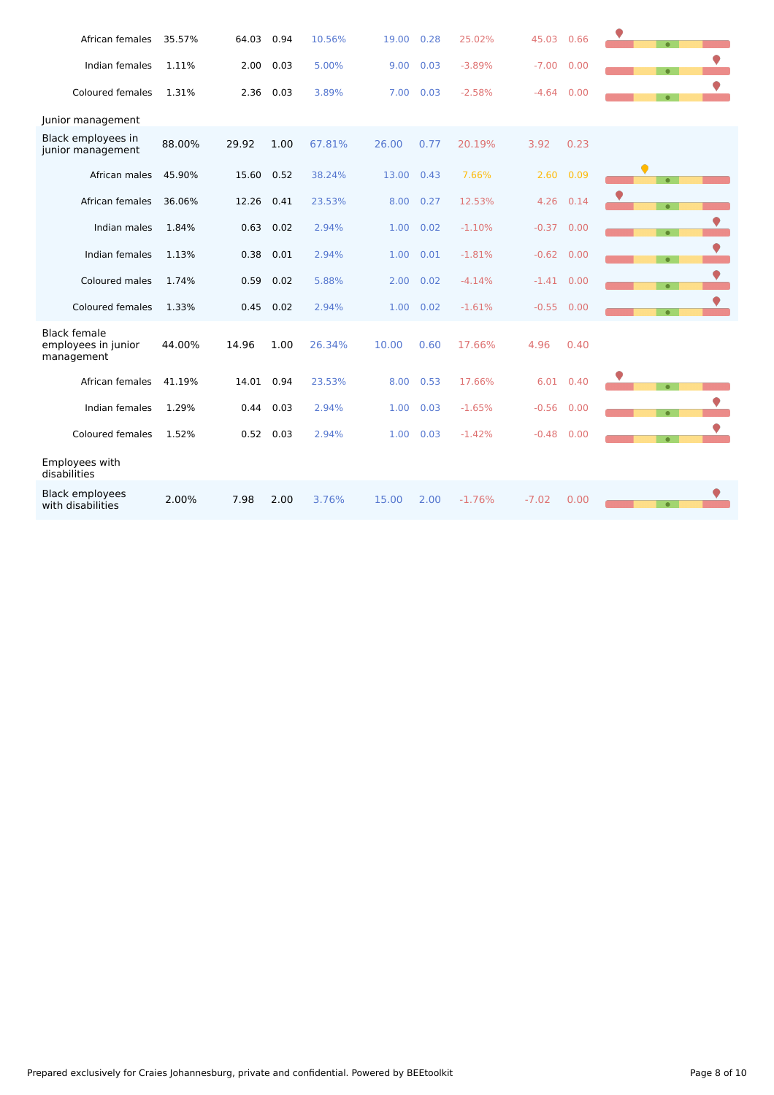| African females                                          | 35.57% | 64.03 | 0.94 | 10.56% | 19.00 | 0.28 | 25.02%   | 45.03        | 0.66      | $\bullet$ |  |
|----------------------------------------------------------|--------|-------|------|--------|-------|------|----------|--------------|-----------|-----------|--|
| Indian females                                           | 1.11%  | 2.00  | 0.03 | 5.00%  | 9.00  | 0.03 | $-3.89%$ | $-7.00$      | 0.00      | $\bullet$ |  |
| Coloured females                                         | 1.31%  | 2.36  | 0.03 | 3.89%  | 7.00  | 0.03 | $-2.58%$ | $-4.64$      | 0.00      | $\bullet$ |  |
| Junior management                                        |        |       |      |        |       |      |          |              |           |           |  |
| Black employees in<br>junior management                  | 88.00% | 29.92 | 1.00 | 67.81% | 26.00 | 0.77 | 20.19%   | 3.92         | 0.23      |           |  |
| African males                                            | 45.90% | 15.60 | 0.52 | 38.24% | 13.00 | 0.43 | 7.66%    | 2.60         | 0.09      | $\bullet$ |  |
| African females                                          | 36.06% | 12.26 | 0.41 | 23.53% | 8.00  | 0.27 | 12.53%   | 4.26         | 0.14      | $\bullet$ |  |
| Indian males                                             | 1.84%  | 0.63  | 0.02 | 2.94%  | 1.00  | 0.02 | $-1.10%$ | $-0.37$      | 0.00      | $\bullet$ |  |
| Indian females                                           | 1.13%  | 0.38  | 0.01 | 2.94%  | 1.00  | 0.01 | $-1.81%$ | $-0.62$      | 0.00      | $\bullet$ |  |
| Coloured males                                           | 1.74%  | 0.59  | 0.02 | 5.88%  | 2.00  | 0.02 | $-4.14%$ | $-1.41$ 0.00 |           | $\bullet$ |  |
| Coloured females                                         | 1.33%  | 0.45  | 0.02 | 2.94%  | 1.00  | 0.02 | $-1.61%$ | $-0.55$ 0.00 |           | $\bullet$ |  |
| <b>Black female</b><br>employees in junior<br>management | 44.00% | 14.96 | 1.00 | 26.34% | 10.00 | 0.60 | 17.66%   | 4.96         | 0.40      |           |  |
| African females                                          | 41.19% | 14.01 | 0.94 | 23.53% | 8.00  | 0.53 | 17.66%   |              | 6.01 0.40 | $\bullet$ |  |
| Indian females                                           | 1.29%  | 0.44  | 0.03 | 2.94%  | 1.00  | 0.03 | $-1.65%$ | $-0.56$      | 0.00      | $\bullet$ |  |
| Coloured females                                         | 1.52%  | 0.52  | 0.03 | 2.94%  | 1.00  | 0.03 | $-1.42%$ | $-0.48$      | 0.00      | $\bullet$ |  |
| Employees with<br>disabilities                           |        |       |      |        |       |      |          |              |           |           |  |
| <b>Black employees</b><br>with disabilities              | 2.00%  | 7.98  | 2.00 | 3.76%  | 15.00 | 2.00 | $-1.76%$ | $-7.02$      | 0.00      | $\bullet$ |  |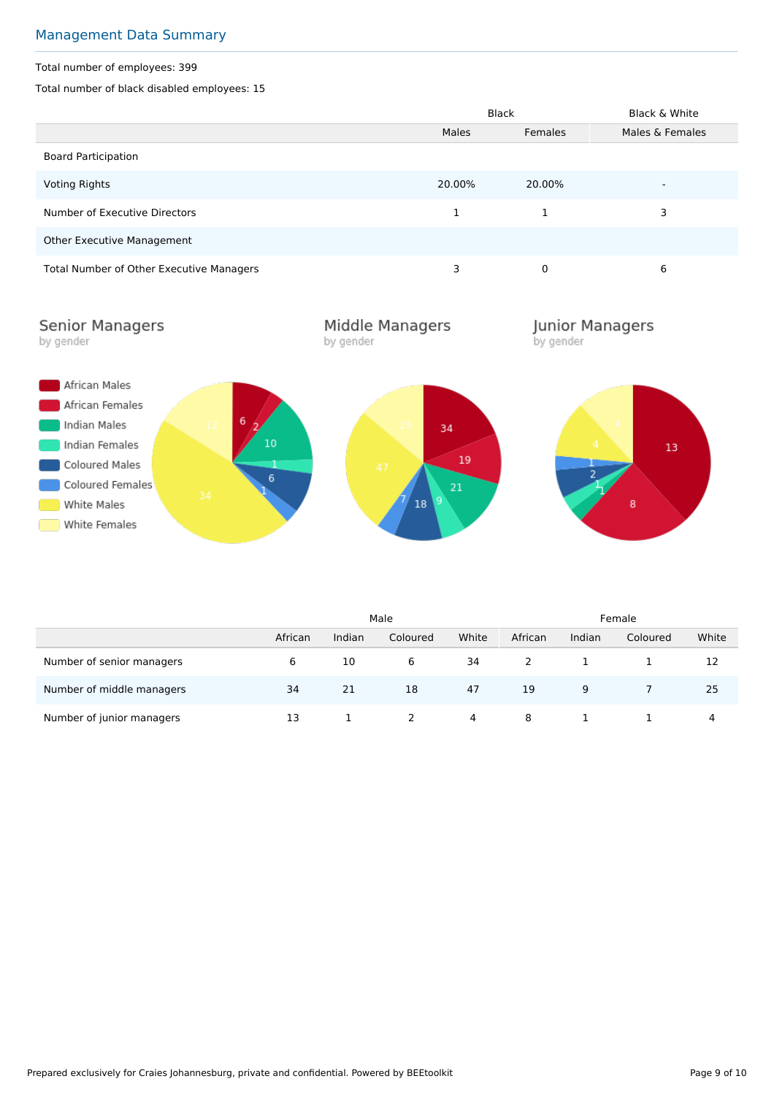## Management Data Summary

#### Total number of employees: 399

Total number of black disabled employees: 15

|                                          |        | <b>Black</b> | Black & White            |  |
|------------------------------------------|--------|--------------|--------------------------|--|
|                                          | Males  | Females      | Males & Females          |  |
| <b>Board Participation</b>               |        |              |                          |  |
| <b>Voting Rights</b>                     | 20.00% | 20.00%       | $\overline{\phantom{a}}$ |  |
| Number of Executive Directors            |        |              | 3                        |  |
| Other Executive Management               |        |              |                          |  |
| Total Number of Other Executive Managers | 3      | 0            | 6                        |  |

**Senior Managers** by gender

Middle Managers by gender

**Junior Managers**<br>by gender



|                           |         | Male   |          |       | Female  |        |          |       |
|---------------------------|---------|--------|----------|-------|---------|--------|----------|-------|
|                           | African | Indian | Coloured | White | African | Indian | Coloured | White |
| Number of senior managers | 6       | 10     | 6        | 34    |         |        |          | 12    |
| Number of middle managers | 34      | 21     | 18       | 47    | 19      | 9      |          | 25    |
| Number of junior managers | 13      |        |          | 4     | 8       |        |          | 4     |